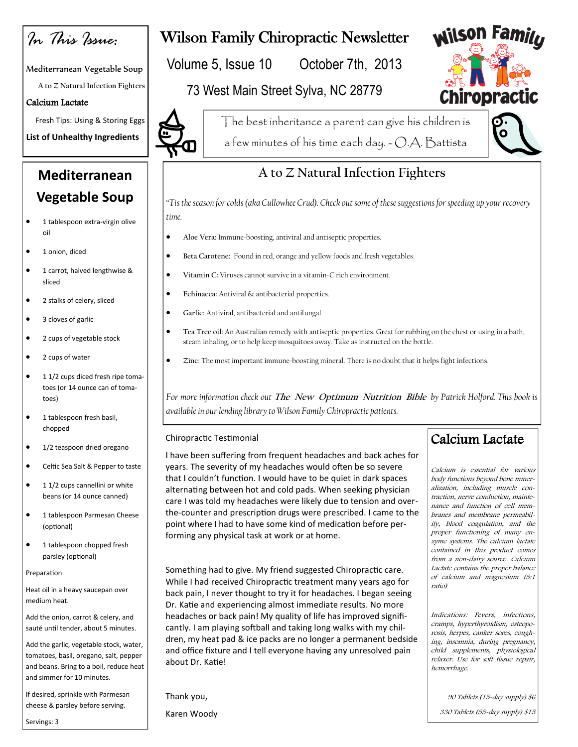*In This Issue:*

Mediterranean Vegetable Soup

**A to Z Natural Infection Fighters**

#### Calcium Lactate

Fresh Tips: Using & Storing Eggs

**List of Unhealthy Ingredients** 

# **Mediterranean Vegetable Soup**

- **1** tablespoon extra-virgin olive oil
- $\bullet$  1 onion, diced
- **1** carrot, halved lengthwise & sliced
- 2 stalks of celery, sliced
- 3 cloves of garlic
- 2 cups of vegetable stock
- 2 cups of water
- $\bullet$  1 1/2 cups diced fresh ripe tomatoes (or 14 ounce can of tomatoes)
- $\bullet$  1 tablespoon fresh basil, chopped
- $\bullet$  1/2 teaspoon dried oregano
- Celtic Sea Salt & Pepper to taste
- $\bullet$  1 1/2 cups cannellini or white beans (or 14 ounce canned)
- $\bullet$  1 tablespoon Parmesan Cheese (optional)
- **1** tablespoon chopped fresh parsley (optional)

#### Preparation

Heat oil in a heavy saucepan over medium heat.

Add the onion, carrot & celery, and sauté until tender, about 5 minutes.

Add the garlic, vegetable stock, water, tomatoes, basil, oregano, salt, pepper and beans. Bring to a boil, reduce heat and simmer for 10 minutes.

If desired, sprinkle with Parmesan cheese & parsley before serving.

Servings: 3

# Wilson Family Chiropractic Newsletter

Volume 5, Issue 10 October 7th, 2013

### 73 West Main Street Sylva, NC 28779



The best inheritance a parent can give his children is a few minutes of his time each day. - O.A. Battista



**Wilson Family** 

## **A to Z Natural Infection Fighters**

*"Tis the season for colds (aka Cullowhee Crud). Check out some of these suggestions for speeding up your recovery time.*

- **Aloe Vera:** Immune-boosting, antiviral and antiseptic properties.
- **Beta Carotene:** Found in red, orange and yellow foods and fresh vegetables.
- **Vitamin C:** Viruses cannot survive in a vitamin-C rich environment.
- **Echinacea:** Antiviral & antibacterial properties.
- **Garlic:** Antiviral, antibacterial and antifungal
- **Tea Tree oil:** An Australian remedy with antiseptic properties. Great for rubbing on the chest or using in a bath, steam inhaling, or to help keep mosquitoes away. Take as instructed on the bottle.
- **Zinc:** The most important immune-boosting mineral. There is no doubt that it helps fight infections.

*For more information check out* **The New Optimum Nutrition Bible** *by Patrick Holford. This book is available in our lending library to Wilson Family Chiropractic patients.* 

#### Chiropractic Testimonial

I have been suffering from frequent headaches and back aches for years. The severity of my headaches would often be so severe that I couldn't function. I would have to be quiet in dark spaces alternating between hot and cold pads. When seeking physician care I was told my headaches were likely due to tension and overthe-counter and prescription drugs were prescribed. I came to the point where I had to have some kind of medication before performing any physical task at work or at home.

Something had to give. My friend suggested Chiropractic care. While I had received Chiropractic treatment many years ago for back pain, I never thought to try it for headaches. I began seeing Dr. Katie and experiencing almost immediate results. No more headaches or back pain! My quality of life has improved significantly. I am playing softball and taking long walks with my children, my heat pad & ice packs are no longer a permanent bedside and office fixture and I tell everyone having any unresolved pain about Dr. Katie!

Thank you,

Karen Woody

### Calcium Lactate

Calcium is essential for various body functions beyond bone mineralization, including muscle contraction, nerve conduction, maintenance and function of cell membranes and membrane permeability, blood coagulation, and the proper functioning of many enzyme systems. The calcium lactate contained in this product comes from a non-dairy source. Calcium Lactate contains the proper balance of calcium and magnesium (5:1 ratio)

Indications: Fevers, infections, cramps, hyperthyroidism, osteoporosis, herpes, canker sores, coughing, insomnia, during pregnancy, child supplements, physiological relaxer. Use for soft tissue repair, hemorrhage.

90 Tablets (15-day supply) \$6

330 Tablets (55-day supply) \$15